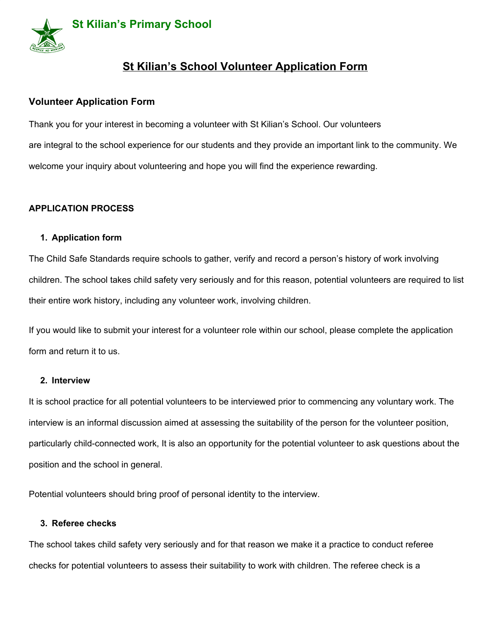

# **St Kilian's School Volunteer Application Form**

# **Volunteer Application Form**

Thank you for your interest in becoming a volunteer with St Kilian's School. Our volunteers are integral to the school experience for our students and they provide an important link to the community. We welcome your inquiry about volunteering and hope you will find the experience rewarding.

# **APPLICATION PROCESS**

## **1. Application form**

The Child Safe Standards require schools to gather, verify and record a person's history of work involving children. The school takes child safety very seriously and for this reason, potential volunteers are required to list their entire work history, including any volunteer work, involving children.

If you would like to submit your interest for a volunteer role within our school, please complete the application form and return it to us.

#### **2. Interview**

It is school practice for all potential volunteers to be interviewed prior to commencing any voluntary work. The interview is an informal discussion aimed at assessing the suitability of the person for the volunteer position, particularly child-connected work, It is also an opportunity for the potential volunteer to ask questions about the position and the school in general.

Potential volunteers should bring proof of personal identity to the interview.

#### **3. Referee checks**

The school takes child safety very seriously and for that reason we make it a practice to conduct referee checks for potential volunteers to assess their suitability to work with children. The referee check is a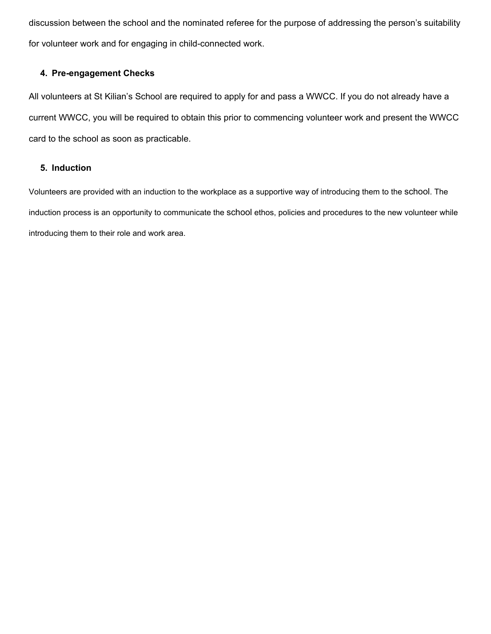discussion between the school and the nominated referee for the purpose of addressing the person's suitability for volunteer work and for engaging in child-connected work.

## **4. Pre-engagement Checks**

All volunteers at St Kilian's School are required to apply for and pass a WWCC. If you do not already have a current WWCC, you will be required to obtain this prior to commencing volunteer work and present the WWCC card to the school as soon as practicable.

## **5. Induction**

Volunteers are provided with an induction to the workplace as a supportive way of introducing them to the school. The induction process is an opportunity to communicate the school ethos, policies and procedures to the new volunteer while introducing them to their role and work area.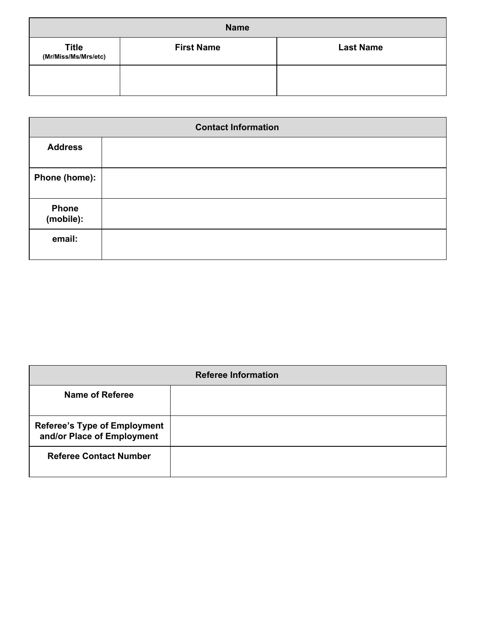| <b>Name</b>                          |                   |                  |  |  |
|--------------------------------------|-------------------|------------------|--|--|
| <b>Title</b><br>(Mr/Miss/Ms/Mrs/etc) | <b>First Name</b> | <b>Last Name</b> |  |  |
|                                      |                   |                  |  |  |

| <b>Contact Information</b> |  |  |
|----------------------------|--|--|
| <b>Address</b>             |  |  |
| Phone (home):              |  |  |
| <b>Phone</b><br>(mobile):  |  |  |
| email:                     |  |  |

| <b>Referee Information</b>                                        |  |  |  |
|-------------------------------------------------------------------|--|--|--|
| <b>Name of Referee</b>                                            |  |  |  |
| <b>Referee's Type of Employment</b><br>and/or Place of Employment |  |  |  |
| <b>Referee Contact Number</b>                                     |  |  |  |